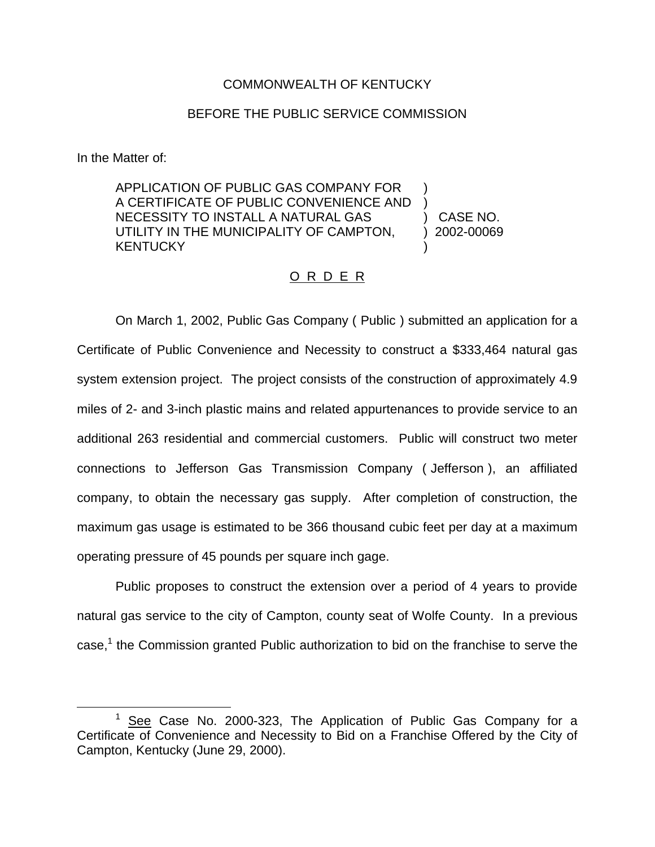## COMMONWEALTH OF KENTUCKY

## BEFORE THE PUBLIC SERVICE COMMISSION

In the Matter of:

APPLICATION OF PUBLIC GAS COMPANY FOR ) A CERTIFICATE OF PUBLIC CONVENIENCE AND ) NECESSITY TO INSTALL A NATURAL GAS (CASE NO. UTILITY IN THE MUNICIPALITY OF CAMPTON, 12002-00069 **KENTUCKY** 

## O R D E R

On March 1, 2002, Public Gas Company ( Public ) submitted an application for a Certificate of Public Convenience and Necessity to construct a \$333,464 natural gas system extension project. The project consists of the construction of approximately 4.9 miles of 2- and 3-inch plastic mains and related appurtenances to provide service to an additional 263 residential and commercial customers. Public will construct two meter connections to Jefferson Gas Transmission Company ( Jefferson ), an affiliated company, to obtain the necessary gas supply. After completion of construction, the maximum gas usage is estimated to be 366 thousand cubic feet per day at a maximum operating pressure of 45 pounds per square inch gage.

Public proposes to construct the extension over a period of 4 years to provide natural gas service to the city of Campton, county seat of Wolfe County. In a previous case, $<sup>1</sup>$  the Commission granted Public authorization to bid on the franchise to serve the</sup>

 $1$  See Case No. 2000-323, The Application of Public Gas Company for a Certificate of Convenience and Necessity to Bid on a Franchise Offered by the City of Campton, Kentucky (June 29, 2000).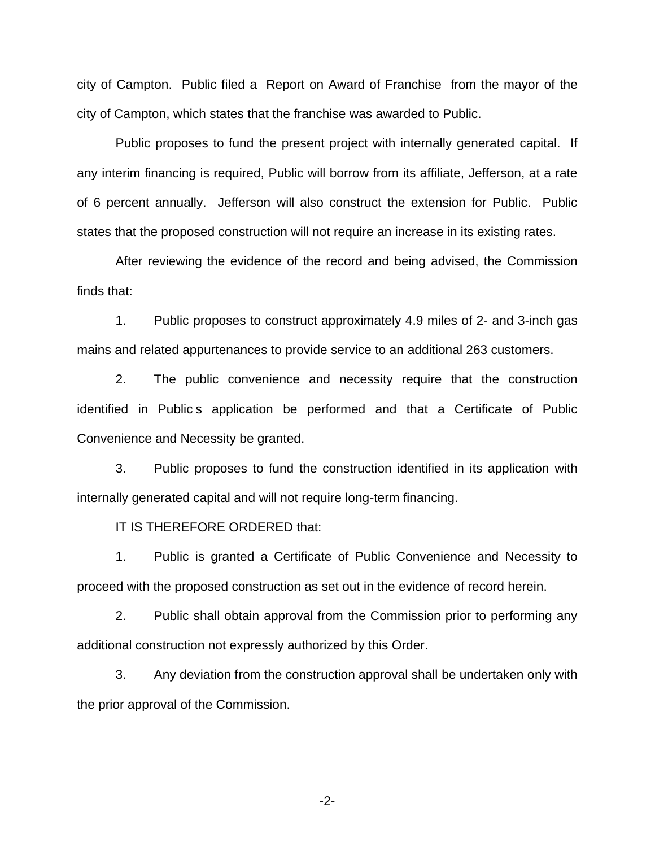city of Campton. Public filed a Report on Award of Franchise from the mayor of the city of Campton, which states that the franchise was awarded to Public.

Public proposes to fund the present project with internally generated capital. If any interim financing is required, Public will borrow from its affiliate, Jefferson, at a rate of 6 percent annually. Jefferson will also construct the extension for Public. Public states that the proposed construction will not require an increase in its existing rates.

After reviewing the evidence of the record and being advised, the Commission finds that:

1. Public proposes to construct approximately 4.9 miles of 2- and 3-inch gas mains and related appurtenances to provide service to an additional 263 customers.

2. The public convenience and necessity require that the construction identified in Public s application be performed and that a Certificate of Public Convenience and Necessity be granted.

3. Public proposes to fund the construction identified in its application with internally generated capital and will not require long-term financing.

IT IS THEREFORE ORDERED that:

1. Public is granted a Certificate of Public Convenience and Necessity to proceed with the proposed construction as set out in the evidence of record herein.

2. Public shall obtain approval from the Commission prior to performing any additional construction not expressly authorized by this Order.

3. Any deviation from the construction approval shall be undertaken only with the prior approval of the Commission.

-2-